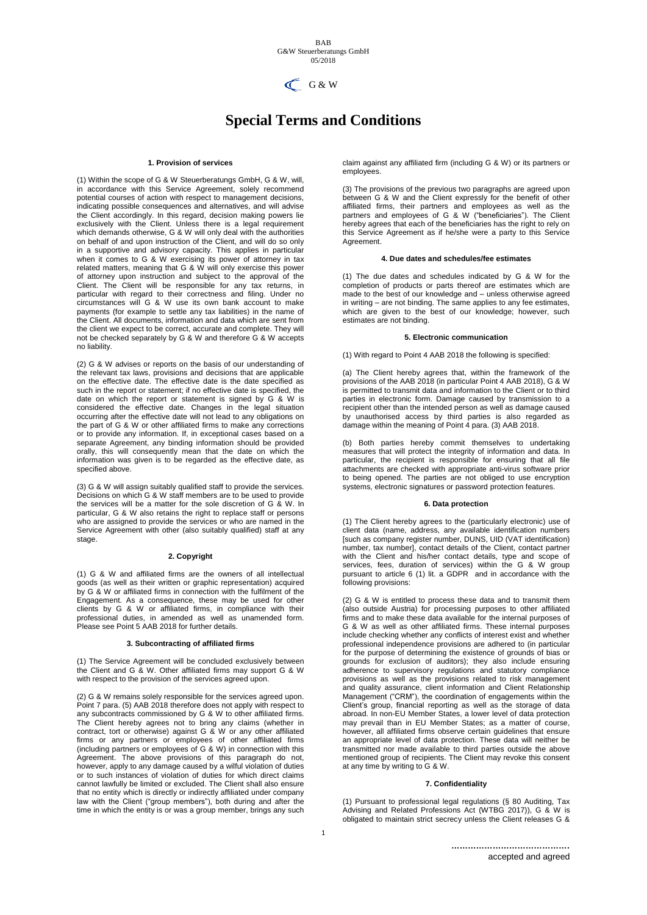

# **Special Terms and Conditions**

## **1. Provision of services**

(1) Within the scope of G & W Steuerberatungs GmbH, G & W, will, in accordance with this Service Agreement, solely recommend potential courses of action with respect to management decisions, indicating possible consequences and alternatives, and will advise the Client accordingly. In this regard, decision making powers lie exclusively with the Client. Unless there is a legal requirement which demands otherwise, G & W will only deal with the authorities on behalf of and upon instruction of the Client, and will do so only in a supportive and advisory capacity. This applies in particular when it comes to G & W exercising its power of attorney in tax related matters, meaning that G & W will only exercise this power of attorney upon instruction and subject to the approval of the Client. The Client will be responsible for any tax returns, in particular with regard to their correctness and filing. Under no circumstances will G & W use its own bank account to make payments (for example to settle any tax liabilities) in the name of the Client. All documents, information and data which are sent from the client we expect to be correct, accurate and complete. They will not be checked separately by G & W and therefore G & W accepts no liability.

(2) G & W advises or reports on the basis of our understanding of the relevant tax laws, provisions and decisions that are applicable on the effective date. The effective date is the date specified as such in the report or statement; if no effective date is specified, the date on which the report or statement is signed by G & W is considered the effective date. Changes in the legal situation occurring after the effective date will not lead to any obligations on the part of G & W or other affiliated firms to make any corrections or to provide any information. If, in exceptional cases based on a separate Agreement, any binding information should be provided orally, this will consequently mean that the date on which the information was given is to be regarded as the effective date, as specified above.

(3) G & W will assign suitably qualified staff to provide the services. Decisions on which G & W staff members are to be used to provide the services will be a matter for the sole discretion of G & W. In particular, G & W also retains the right to replace staff or persons who are assigned to provide the services or who are named in the Service Agreement with other (also suitably qualified) staff at any stage.

#### **2. Copyright**

(1) G & W and affiliated firms are the owners of all intellectual goods (as well as their written or graphic representation) acquired by G & W or affiliated firms in connection with the fulfilment of the Engagement. As a consequence, these may be used for other clients by G & W or affiliated firms, in compliance with their professional duties, in amended as well as unamended form. Please see Point 5 AAB 2018 for further details.

#### **3. Subcontracting of affiliated firms**

(1) The Service Agreement will be concluded exclusively between the Client and G & W. Other affiliated firms may support G & W with respect to the provision of the services agreed upon.

(2) G & W remains solely responsible for the services agreed upon. Point 7 para. (5) AAB 2018 therefore does not apply with respect to any subcontracts commissioned by G & W to other affiliated firms. The Client hereby agrees not to bring any claims (whether in contract, tort or otherwise) against G & W or any other affiliated firms or any partners or employees of other affiliated firms (including partners or employees of G & W) in connection with this Agreement. The above provisions of this paragraph do not, however, apply to any damage caused by a wilful violation of duties or to such instances of violation of duties for which direct claims cannot lawfully be limited or excluded. The Client shall also ensure that no entity which is directly or indirectly affiliated under company law with the Client ("group members"), both during and after the time in which the entity is or was a group member, brings any such

claim against any affiliated firm (including G & W) or its partners or employees.

(3) The provisions of the previous two paragraphs are agreed upon between G & W and the Client expressly for the benefit of other affiliated firms, their partners and employees as well as the partners and employees of G & W ("beneficiaries"). The Client hereby agrees that each of the beneficiaries has the right to rely on this Service Agreement as if he/she were a party to this Service Agreement.

## **4. Due dates and schedules/fee estimates**

(1) The due dates and schedules indicated by G & W for the completion of products or parts thereof are estimates which are made to the best of our knowledge and – unless otherwise agreed in writing – are not binding. The same applies to any fee estimates, which are given to the best of our knowledge; however, such estimates are not binding.

## **5. Electronic communication**

(1) With regard to Point 4 AAB 2018 the following is specified:

(a) The Client hereby agrees that, within the framework of the provisions of the AAB 2018 (in particular Point 4 AAB 2018), G & W is permitted to transmit data and information to the Client or to third parties in electronic form. Damage caused by transmission to a recipient other than the intended person as well as damage caused by unauthorised access by third parties is also regarded as damage within the meaning of Point 4 para. (3) AAB 2018.

(b) Both parties hereby commit themselves to undertaking measures that will protect the integrity of information and data. In particular, the recipient is responsible for ensuring that all file attachments are checked with appropriate anti-virus software prior to being opened. The parties are not obliged to use encryption systems, electronic signatures or password protection features.

#### **6. Data protection**

(1) The Client hereby agrees to the (particularly electronic) use of client data (name, address, any available identification numbers [such as company register number, DUNS, UID (VAT identification) number, tax number], contact details of the Client, contact partner with the Client and his/her contact details, type and scope of services, fees, duration of services) within the G & W group pursuant to article 6 (1) lit. a GDPR and in accordance with the following provisions:

(2) G & W is entitled to process these data and to transmit them (also outside Austria) for processing purposes to other affiliated firms and to make these data available for the internal purposes of G & W as well as other affiliated firms. These internal purposes include checking whether any conflicts of interest exist and whether professional independence provisions are adhered to (in particular for the purpose of determining the existence of grounds of bias or grounds for exclusion of auditors); they also include ensuring adherence to supervisory regulations and statutory compliance provisions as well as the provisions related to risk management and quality assurance, client information and Client Relationship Management ("CRM"), the coordination of engagements within the Client's group, financial reporting as well as the storage of data abroad. In non-EU Member States, a lower level of data protection may prevail than in EU Member States; as a matter of course, however, all affiliated firms observe certain guidelines that ensure an appropriate level of data protection. These data will neither be transmitted nor made available to third parties outside the above mentioned group of recipients. The Client may revoke this consent at any time by writing to G & W.

## **7. Confidentiality**

(1) Pursuant to professional legal regulations (§ 80 Auditing, Tax Advising and Related Professions Act (WTBG 2017)), G & W is obligated to maintain strict secrecy unless the Client releases G &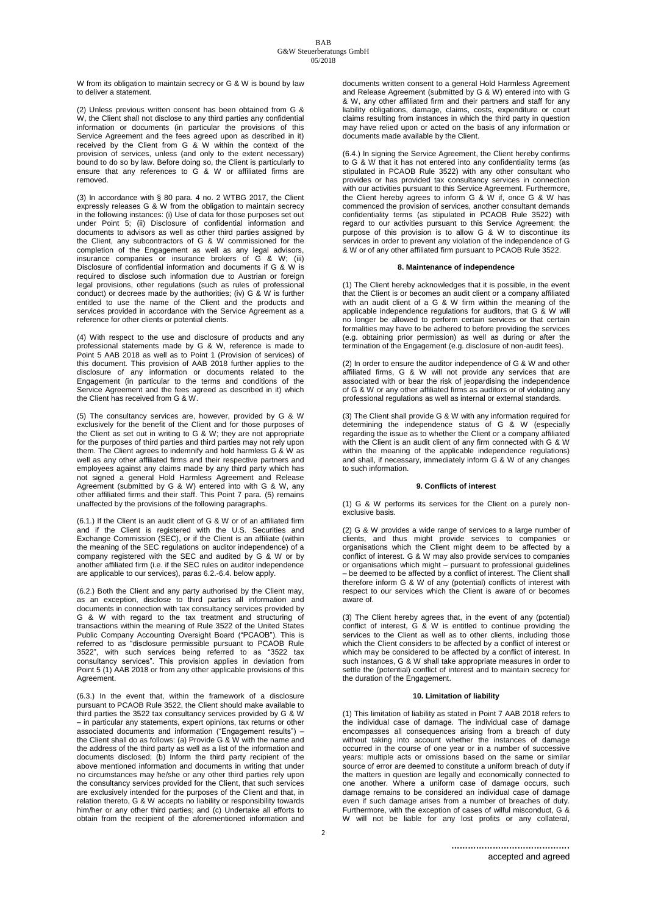W from its obligation to maintain secrecy or G & W is bound by law to deliver a statement.

(2) Unless previous written consent has been obtained from G & W, the Client shall not disclose to any third parties any confidential information or documents (in particular the provisions of this Service Agreement and the fees agreed upon as described in it) received by the Client from G & W within the context of the provision of services, unless (and only to the extent necessary) bound to do so by law. Before doing so, the Client is particularly to ensure that any references to G & W or affiliated firms are removed.

(3) In accordance with § 80 para. 4 no. 2 WTBG 2017, the Client expressly releases G & W from the obligation to maintain secrecy in the following instances: (i) Use of data for those purposes set out under Point 5; (ii) Disclosure of confidential information and documents to advisors as well as other third parties assigned by the Client, any subcontractors of G & W commissioned for the completion of the Engagement as well as any legal advisors, insurance companies or insurance brokers of G & W; (iii) Disclosure of confidential information and documents if G & W is required to disclose such information due to Austrian or foreign legal provisions, other regulations (such as rules of professional conduct) or decrees made by the authorities; (iv) G & W is further entitled to use the name of the Client and the products and services provided in accordance with the Service Agreement as a reference for other clients or potential clients.

(4) With respect to the use and disclosure of products and any professional statements made by G & W, reference is made to Point 5 AAB 2018 as well as to Point 1 (Provision of services) of this document. This provision of AAB 2018 further applies to the disclosure of any information or documents related to the Engagement (in particular to the terms and conditions of the Service Agreement and the fees agreed as described in it) which the Client has received from G & W.

(5) The consultancy services are, however, provided by G & W exclusively for the benefit of the Client and for those purposes of the Client as set out in writing to G & W; they are not appropriate for the purposes of third parties and third parties may not rely upon them. The Client agrees to indemnify and hold harmless G & W as well as any other affiliated firms and their respective partners and employees against any claims made by any third party which has not signed a general Hold Harmless Agreement and Release Agreement (submitted by G & W) entered into with G & W, any other affiliated firms and their staff. This Point 7 para. (5) remains unaffected by the provisions of the following paragraphs.

(6.1.) If the Client is an audit client of G & W or of an affiliated firm and if the Client is registered with the U.S. Securities and Exchange Commission (SEC), or if the Client is an affiliate (within the meaning of the SEC regulations on auditor independence) of a company registered with the SEC and audited by G & W or by another affiliated firm (i.e. if the SEC rules on auditor independence are applicable to our services), paras 6.2.-6.4. below apply.

(6.2.) Both the Client and any party authorised by the Client may, as an exception, disclose to third parties all information and documents in connection with tax consultancy services provided by G & W with regard to the tax treatment and structuring of transactions within the meaning of Rule 3522 of the United States Public Company Accounting Oversight Board ("PCAOB"). This is referred to as "disclosure permissible pursuant to PCAOB Rule 3522", with such services being referred to as "3522 tax consultancy services". This provision applies in deviation from Point 5 (1) AAB 2018 or from any other applicable provisions of this Agreement.

(6.3.) In the event that, within the framework of a disclosure pursuant to PCAOB Rule 3522, the Client should make available to third parties the 3522 tax consultancy services provided by G & W – in particular any statements, expert opinions, tax returns or other associated documents and information ("Engagement results") – the Client shall do as follows: (a) Provide G & W with the name and the address of the third party as well as a list of the information and documents disclosed; (b) Inform the third party recipient of the above mentioned information and documents in writing that under no circumstances may he/she or any other third parties rely upon the consultancy services provided for the Client, that such services are exclusively intended for the purposes of the Client and that, in relation thereto, G & W accepts no liability or responsibility towards him/her or any other third parties; and (c) Undertake all efforts to obtain from the recipient of the aforementioned information and documents written consent to a general Hold Harmless Agreement and Release Agreement (submitted by G & W) entered into with G & W, any other affiliated firm and their partners and staff for any liability obligations, damage, claims, costs, expenditure or court claims resulting from instances in which the third party in question may have relied upon or acted on the basis of any information or documents made available by the Client.

(6.4.) In signing the Service Agreement, the Client hereby confirms to G & W that it has not entered into any confidentiality terms (as stipulated in PCAOB Rule 3522) with any other consultant who provides or has provided tax consultancy services in connection with our activities pursuant to this Service Agreement. Furthermore, the Client hereby agrees to inform G & W if, once G & W has commenced the provision of services, another consultant demands confidentiality terms (as stipulated in PCAOB Rule 3522) with regard to our activities pursuant to this Service Agreement; the purpose of this provision is to allow G & W to discontinue its services in order to prevent any violation of the independence of G & W or of any other affiliated firm pursuant to PCAOB Rule 3522.

# **8. Maintenance of independence**

(1) The Client hereby acknowledges that it is possible, in the event that the Client is or becomes an audit client or a company affiliated with an audit client of a G & W firm within the meaning of the applicable independence regulations for auditors, that G & W will no longer be allowed to perform certain services or that certain formalities may have to be adhered to before providing the services (e.g. obtaining prior permission) as well as during or after the termination of the Engagement (e.g. disclosure of non-audit fees).

(2) In order to ensure the auditor independence of G & W and other affiliated firms, G & W will not provide any services that are associated with or bear the risk of jeopardising the independence of G & W or any other affiliated firms as auditors or of violating any professional regulations as well as internal or external standards.

(3) The Client shall provide G & W with any information required for determining the independence status of G & W (especially regarding the issue as to whether the Client or a company affiliated with the Client is an audit client of any firm connected with G & W within the meaning of the applicable independence regulations) and shall, if necessary, immediately inform G & W of any changes to such information.

#### **9. Conflicts of interest**

(1) G & W performs its services for the Client on a purely nonexclusive basis.

(2) G & W provides a wide range of services to a large number of clients, and thus might provide services to companies or organisations which the Client might deem to be affected by a conflict of interest. G & W may also provide services to companies or organisations which might – pursuant to professional guidelines – be deemed to be affected by a conflict of interest. The Client shall therefore inform G & W of any (potential) conflicts of interest with respect to our services which the Client is aware of or becomes aware of.

(3) The Client hereby agrees that, in the event of any (potential) conflict of interest, G & W is entitled to continue providing the services to the Client as well as to other clients, including those which the Client considers to be affected by a conflict of interest or which may be considered to be affected by a conflict of interest. In such instances, G & W shall take appropriate measures in order to settle the (potential) conflict of interest and to maintain secrecy for the duration of the Engagement.

## **10. Limitation of liability**

(1) This limitation of liability as stated in Point 7 AAB 2018 refers to the individual case of damage. The individual case of damage encompasses all consequences arising from a breach of duty without taking into account whether the instances of damage occurred in the course of one year or in a number of successive years: multiple acts or omissions based on the same or similar source of error are deemed to constitute a uniform breach of duty if the matters in question are legally and economically connected to one another. Where a uniform case of damage occurs, such damage remains to be considered an individual case of damage even if such damage arises from a number of breaches of duty. Furthermore, with the exception of cases of wilful misconduct, G & will not be liable for any lost profits or any collateral,